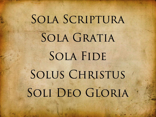# SOLA SCRIPTURA SOLA GRATIA SOLA FIDE SOLUS CHRISTUS SOLI DEO GLORIA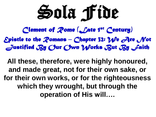Sola Fide

*Clement of Rome (Late 1st Century) Epistle to the Romans – Chapter 32: We Are Not Justified By Our Own Works But By Faith* 

**All these, therefore, were highly honoured, and made great, not for their own sake, or for their own works, or for the righteousness which they wrought, but through the operation of His will….**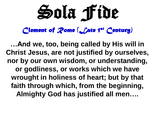Sola Fide

*Clement of Rome (Late 1st Century)*

**…And we, too, being called by His will in Christ Jesus, are not justified by ourselves, nor by our own wisdom, or understanding, or godliness, or works which we have wrought in holiness of heart; but by that faith through which, from the beginning, Almighty God has justified all men….**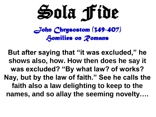

**But after saying that "it was excluded," he shows also, how. How then does he say it was excluded? "By what law? of works? Nay, but by the law of faith." See he calls the faith also a law delighting to keep to the names, and so allay the seeming novelty….**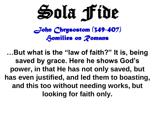

**…But what is the "law of faith?" It is, being saved by grace. Here he shows God's power, in that He has not only saved, but has even justified, and led them to boasting, and this too without needing works, but looking for faith only.**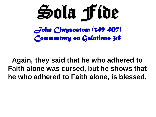

#### **Again, they said that he who adhered to Faith alone was cursed, but he shows that he who adhered to Faith alone, is blessed.**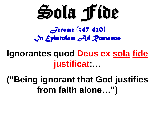

*Jerome (347-420) In Epistolam Ad Romanos* 

# **Ignorantes quod Deus ex sola fide justificat:…**

# **("Being ignorant that God justifies from faith alone…")**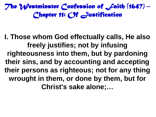**I. Those whom God effectually calls, He also freely justifies; not by infusing righteousness into them, but by pardoning their sins, and by accounting and accepting their persons as righteous; not for any thing wrought in them, or done by them, but for Christ's sake alone;…**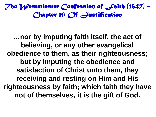**…nor by imputing faith itself, the act of believing, or any other evangelical obedience to them, as their righteousness; but by imputing the obedience and satisfaction of Christ unto them, they receiving and resting on Him and His righteousness by faith; which faith they have not of themselves, it is the gift of God.**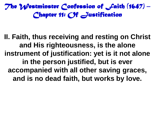**II. Faith, thus receiving and resting on Christ and His righteousness, is the alone instrument of justification: yet is it not alone in the person justified, but is ever accompanied with all other saving graces, and is no dead faith, but works by love.**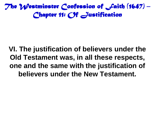**VI. The justification of believers under the Old Testament was, in all these respects, one and the same with the justification of believers under the New Testament.**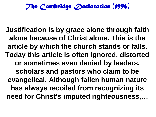**Justification is by grace alone through faith alone because of Christ alone. This is the article by which the church stands or falls. Today this article is often ignored, distorted or sometimes even denied by leaders, scholars and pastors who claim to be evangelical. Although fallen human nature has always recoiled from recognizing its need for Christ's imputed righteousness,…**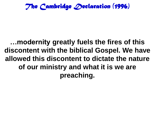## **…modernity greatly fuels the fires of this discontent with the biblical Gospel. We have allowed this discontent to dictate the nature of our ministry and what it is we are preaching.**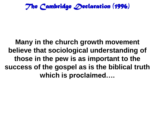## **Many in the church growth movement believe that sociological understanding of those in the pew is as important to the success of the gospel as is the biblical truth which is proclaimed….**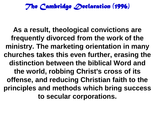**As a result, theological convictions are frequently divorced from the work of the ministry. The marketing orientation in many churches takes this even further, erasing the distinction between the biblical Word and the world, robbing Christ's cross of its offense, and reducing Christian faith to the principles and methods which bring success to secular corporations.**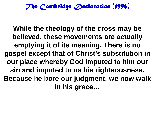**While the theology of the cross may be believed, these movements are actually emptying it of its meaning. There is no gospel except that of Christ's substitution in our place whereby God imputed to him our sin and imputed to us his righteousness. Because he bore our judgment, we now walk in his grace…**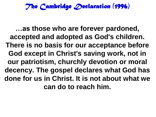**…as those who are forever pardoned, accepted and adopted as God's children. There is no basis for our acceptance before God except in Christ's saving work, not in our patriotism, churchly devotion or moral decency. The gospel declares what God has done for us in Christ. It is not about what we can do to reach him.**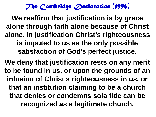**We reaffirm that justification is by grace alone through faith alone because of Christ alone. In justification Christ's righteousness is imputed to us as the only possible satisfaction of God's perfect justice.**

**We deny that justification rests on any merit to be found in us, or upon the grounds of an infusion of Christ's righteousness in us, or that an institution claiming to be a church that denies or condemns sola fide can be recognized as a legitimate church.**